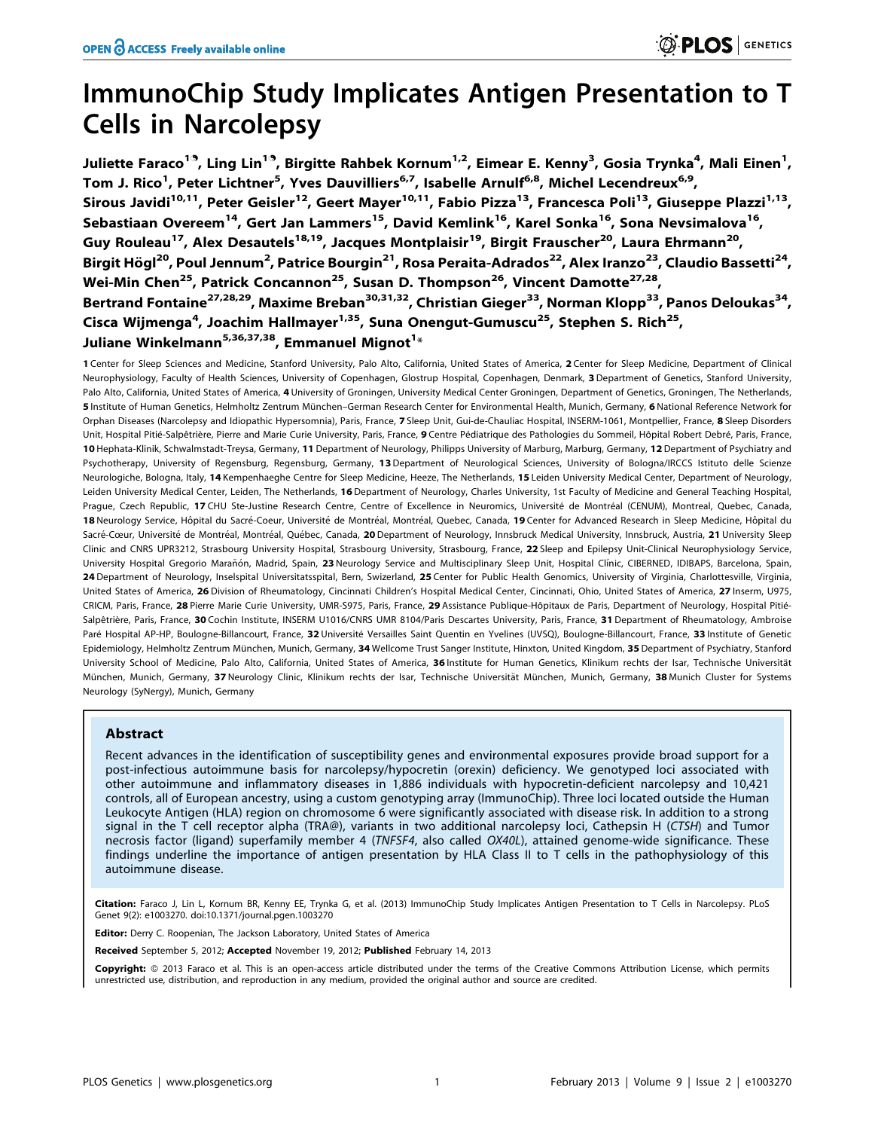# ImmunoChip Study Implicates Antigen Presentation to T Cells in Narcolepsy

Juliette Faraco<sup>19</sup>, Ling Lin<sup>19</sup>, Birgitte Rahbek Kornum<sup>1,2</sup>, Eimear E. Kenny<sup>3</sup>, Gosia Trynka<sup>4</sup>, Mali Einen<sup>1</sup>, Tom J. Rico<sup>1</sup>, Peter Lichtner<sup>5</sup>, Yves Dauvilliers<sup>6,7</sup>, Isabelle Arnulf<sup>6,8</sup>, Michel Lecendreux<sup>6,9</sup>, Sirous Javidi<sup>10,11</sup>, Peter Geisler<sup>12</sup>, Geert Mayer<sup>10,11</sup>, Fabio Pizza<sup>13</sup>, Francesca Poli<sup>13</sup>, Giuseppe Plazzi<sup>1,13</sup>, Sebastiaan Overeem<sup>14</sup>, Gert Jan Lammers<sup>15</sup>, David Kemlink<sup>16</sup>, Karel Sonka<sup>16</sup>, Sona Nevsimalova<sup>16</sup>, Guy Rouleau<sup>17</sup>, Alex Desautels<sup>18,19</sup>, Jacques Montplaisir<sup>19</sup>, Birgit Frauscher<sup>20</sup>, Laura Ehrmann<sup>20</sup>, Birgit Högl<sup>20</sup>, Poul Jennum<sup>2</sup>, Patrice Bourgin<sup>21</sup>, Rosa Peraita-Adrados<sup>22</sup>, Alex Iranzo<sup>23</sup>, Claudio Bassetti<sup>24</sup>, Wei-Min Chen<sup>25</sup>, Patrick Concannon<sup>25</sup>, Susan D. Thompson<sup>26</sup>, Vincent Damotte<sup>27,28</sup>, Bertrand Fontaine<sup>27,28,29</sup>, Maxime Breban<sup>30,31,32</sup>, Christian Gieger<sup>33</sup>, Norman Klopp<sup>33</sup>, Panos Deloukas<sup>34</sup>, Cisca Wijmenga<sup>4</sup>, Joachim Hallmayer<sup>1,35</sup>, Suna Onengut-Gumuscu<sup>25</sup>, Stephen S. Rich<sup>25</sup>, Juliane Winkelmann $^{5,36,37,38}$ , Emmanuel Mignot $^{1_\ast}$ 

1 Center for Sleep Sciences and Medicine, Stanford University, Palo Alto, California, United States of America, 2 Center for Sleep Medicine, Department of Clinical Neurophysiology, Faculty of Health Sciences, University of Copenhagen, Glostrup Hospital, Copenhagen, Denmark, 3 Department of Genetics, Stanford University, Palo Alto, California, United States of America, 4 University of Groningen, University Medical Center Groningen, Department of Genetics, Groningen, The Netherlands, 5 Institute of Human Genetics, Helmholtz Zentrum München-German Research Center for Environmental Health, Munich, Germany, 6 National Reference Network for Orphan Diseases (Narcolepsy and Idiopathic Hypersomnia), Paris, France, 7 Sleep Unit, Gui-de-Chauliac Hospital, INSERM-1061, Montpellier, France, 8 Sleep Disorders Unit, Hospital Pitié-Salpêtrière, Pierre and Marie Curie University, Paris, France, 9 Centre Pédiatrique des Pathologies du Sommeil, Hôpital Robert Debré, Paris, France, 10 Hephata-Klinik, Schwalmstadt-Treysa, Germany, 11 Department of Neurology, Philipps University of Marburg, Marburg, Germany, 12 Department of Psychiatry and Psychotherapy, University of Regensburg, Regensburg, Germany, 13 Department of Neurological Sciences, University of Bologna/IRCCS Istituto delle Scienze Neurologiche, Bologna, Italy, 14 Kempenhaeghe Centre for Sleep Medicine, Heeze, The Netherlands, 15 Leiden University Medical Center, Department of Neurology, Leiden University Medical Center, Leiden, The Netherlands, 16 Department of Neurology, Charles University, 1st Faculty of Medicine and General Teaching Hospital, Prague, Czech Republic, 17 CHU Ste-Justine Research Centre, Centre of Excellence in Neuromics, Université de Montréal (CENUM), Montreal, Quebec, Canada, 18 Neurology Service, Hôpital du Sacré-Coeur, Université de Montréal, Montréal, Quebec, Canada, 19 Center for Advanced Research in Sleep Medicine, Hôpital du Sacré-Cœur, Université de Montréal, Montréal, Québec, Canada, 20 Department of Neurology, Innsbruck Medical University, Innsbruck, Austria, 21 University Sleep Clinic and CNRS UPR3212, Strasbourg University Hospital, Strasbourg University, Strasbourg, France, 22 Sleep and Epilepsy Unit-Clinical Neurophysiology Service, University Hospital Gregorio Marañón, Madrid, Spain, 23 Neurology Service and Multisciplinary Sleep Unit, Hospital Clínic, CIBERNED, IDIBAPS, Barcelona, Spain, 24 Department of Neurology, Inselspital Universitatsspital, Bern, Swizerland, 25 Center for Public Health Genomics, University of Virginia, Charlottesville, Virginia, United States of America, 26 Division of Rheumatology, Cincinnati Children's Hospital Medical Center, Cincinnati, Ohio, United States of America, 27 Inserm, U975, CRICM, Paris, France, 28 Pierre Marie Curie University, UMR-S975, Paris, France, 29 Assistance Publique-Hôpitaux de Paris, Department of Neurology, Hospital Pitié-Salpêtrière, Paris, France, 30 Cochin Institute, INSERM U1016/CNRS UMR 8104/Paris Descartes University, Paris, France, 31 Department of Rheumatology, Ambroise Paré Hospital AP-HP, Boulogne-Billancourt, France, 32 Université Versailles Saint Quentin en Yvelines (UVSQ), Boulogne-Billancourt, France, 33 Institute of Genetic Epidemiology, Helmholtz Zentrum München, Munich, Germany, 34 Wellcome Trust Sanger Institute, Hinxton, United Kingdom, 35 Department of Psychiatry, Stanford University School of Medicine, Palo Alto, California, United States of America, 36 Institute for Human Genetics, Klinikum rechts der Isar, Technische Universität München, Munich, Germany, 37 Neurology Clinic, Klinikum rechts der Isar, Technische Universität München, Munich, Germany, 38 Munich Cluster for Systems Neurology (SyNergy), Munich, Germany

## Abstract

Recent advances in the identification of susceptibility genes and environmental exposures provide broad support for a post-infectious autoimmune basis for narcolepsy/hypocretin (orexin) deficiency. We genotyped loci associated with other autoimmune and inflammatory diseases in 1,886 individuals with hypocretin-deficient narcolepsy and 10,421 controls, all of European ancestry, using a custom genotyping array (ImmunoChip). Three loci located outside the Human Leukocyte Antigen (HLA) region on chromosome 6 were significantly associated with disease risk. In addition to a strong signal in the T cell receptor alpha (TRA@), variants in two additional narcolepsy loci, Cathepsin H (CTSH) and Tumor necrosis factor (ligand) superfamily member 4 (TNFSF4, also called OX40L), attained genome-wide significance. These findings underline the importance of antigen presentation by HLA Class II to T cells in the pathophysiology of this autoimmune disease.

Citation: Faraco J, Lin L, Kornum BR, Kenny EE, Trynka G, et al. (2013) ImmunoChip Study Implicates Antigen Presentation to T Cells in Narcolepsy. PLoS Genet 9(2): e1003270. doi:10.1371/journal.pgen.1003270

Editor: Derry C. Roopenian, The Jackson Laboratory, United States of America

Received September 5, 2012; Accepted November 19, 2012; Published February 14, 2013

**Copyright:** © 2013 Faraco et al. This is an open-access article distributed under the terms of the Creative Commons Attribution License, which permits unrestricted use, distribution, and reproduction in any medium, provided the original author and source are credited.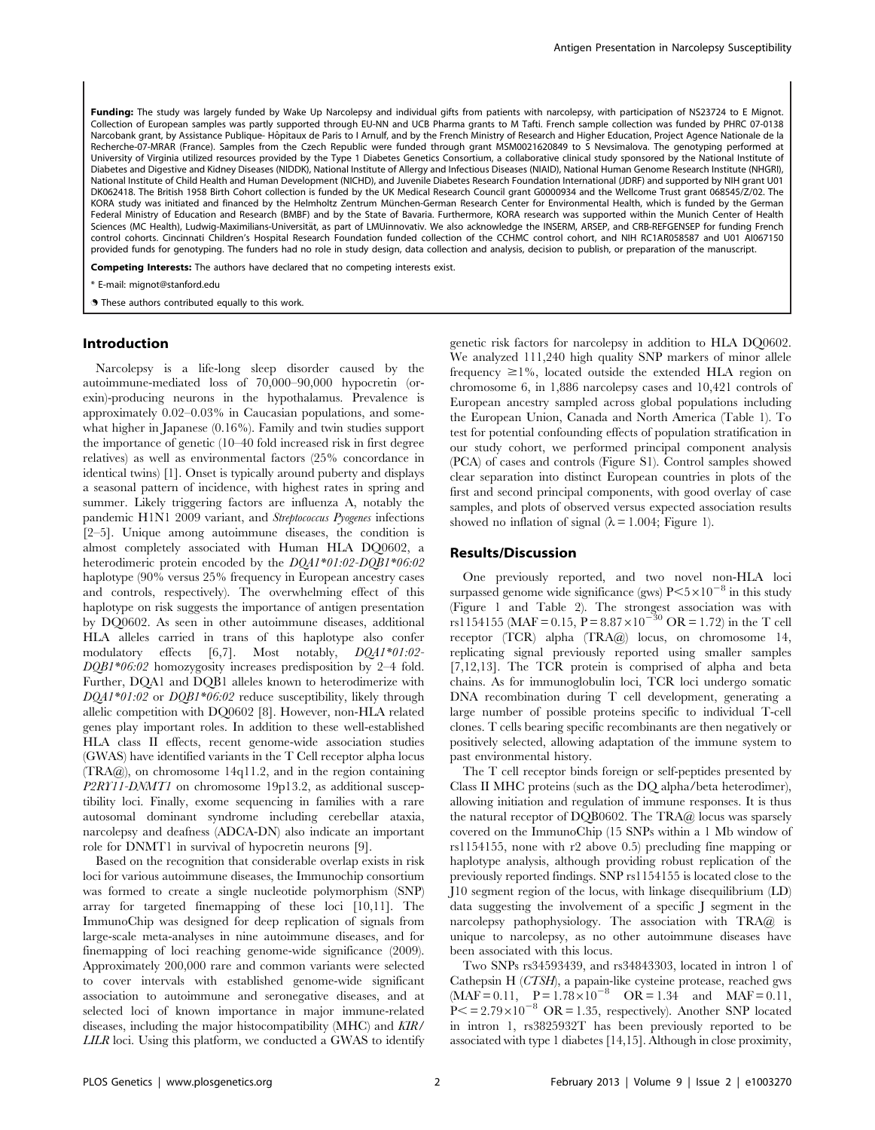Funding: The study was largely funded by Wake Up Narcolepsy and individual gifts from patients with narcolepsy, with participation of NS23724 to E Mignot. Collection of European samples was partly supported through EU-NN and UCB Pharma grants to M Tafti. French sample collection was funded by PHRC 07-0138 Narcobank grant, by Assistance Publique- Hôpitaux de Paris to I Arnulf, and by the French Ministry of Research and Higher Education, Project Agence Nationale de la Recherche-07-MRAR (France). Samples from the Czech Republic were funded through grant MSM0021620849 to S Nevsimalova. The genotyping performed at University of Virginia utilized resources provided by the Type 1 Diabetes Genetics Consortium, a collaborative clinical study sponsored by the National Institute of Diabetes and Digestive and Kidney Diseases (NIDDK), National Institute of Allergy and Infectious Diseases (NIAID), National Human Genome Research Institute (NHGRI), National Institute of Child Health and Human Development (NICHD), and Juvenile Diabetes Research Foundation International (JDRF) and supported by NIH grant U01 DK062418. The British 1958 Birth Cohort collection is funded by the UK Medical Research Council grant G0000934 and the Wellcome Trust grant 068545/Z/02. The KORA study was initiated and financed by the Helmholtz Zentrum München-German Research Center for Environmental Health, which is funded by the German Federal Ministry of Education and Research (BMBF) and by the State of Bavaria. Furthermore, KORA research was supported within the Munich Center of Health Sciences (MC Health), Ludwig-Maximilians-Universität, as part of LMUinnovativ. We also acknowledge the INSERM, ARSEP, and CRB-REFGENSEP for funding French control cohorts. Cincinnati Children's Hospital Research Foundation funded collection of the CCHMC control cohort, and NIH RC1AR058587 and U01 AI067150 provided funds for genotyping. The funders had no role in study design, data collection and analysis, decision to publish, or preparation of the manuscript.

Competing Interests: The authors have declared that no competing interests exist.

\* E-mail: mignot@stanford.edu

**.** These authors contributed equally to this work.

#### Introduction

Narcolepsy is a life-long sleep disorder caused by the autoimmune-mediated loss of 70,000–90,000 hypocretin (orexin)-producing neurons in the hypothalamus. Prevalence is approximately 0.02–0.03% in Caucasian populations, and somewhat higher in Japanese (0.16%). Family and twin studies support the importance of genetic (10–40 fold increased risk in first degree relatives) as well as environmental factors (25% concordance in identical twins) [1]. Onset is typically around puberty and displays a seasonal pattern of incidence, with highest rates in spring and summer. Likely triggering factors are influenza A, notably the pandemic H1N1 2009 variant, and Streptococcus Pyogenes infections [2–5]. Unique among autoimmune diseases, the condition is almost completely associated with Human HLA DQ0602, a heterodimeric protein encoded by the DQA1\*01:02-DQB1\*06:02 haplotype (90% versus 25% frequency in European ancestry cases and controls, respectively). The overwhelming effect of this haplotype on risk suggests the importance of antigen presentation by DQ0602. As seen in other autoimmune diseases, additional HLA alleles carried in trans of this haplotype also confer modulatory effects [6,7]. Most notably, DQA1\*01:02- DQB1\*06:02 homozygosity increases predisposition by 2–4 fold. Further, DQA1 and DQB1 alleles known to heterodimerize with DOA1\*01:02 or DOB1\*06:02 reduce susceptibility, likely through allelic competition with DQ0602 [8]. However, non-HLA related genes play important roles. In addition to these well-established HLA class II effects, recent genome-wide association studies (GWAS) have identified variants in the T Cell receptor alpha locus (TRA@), on chromosome 14q11.2, and in the region containing P2RY11-DNMT1 on chromosome 19p13.2, as additional susceptibility loci. Finally, exome sequencing in families with a rare autosomal dominant syndrome including cerebellar ataxia, narcolepsy and deafness (ADCA-DN) also indicate an important role for DNMT1 in survival of hypocretin neurons [9].

Based on the recognition that considerable overlap exists in risk loci for various autoimmune diseases, the Immunochip consortium was formed to create a single nucleotide polymorphism (SNP) array for targeted finemapping of these loci [10,11]. The ImmunoChip was designed for deep replication of signals from large-scale meta-analyses in nine autoimmune diseases, and for finemapping of loci reaching genome-wide significance (2009). Approximately 200,000 rare and common variants were selected to cover intervals with established genome-wide significant association to autoimmune and seronegative diseases, and at selected loci of known importance in major immune-related diseases, including the major histocompatibility (MHC) and KIR/ LILR loci. Using this platform, we conducted a GWAS to identify genetic risk factors for narcolepsy in addition to HLA DQ0602. We analyzed 111,240 high quality SNP markers of minor allele frequency  $\geq 1\%$ , located outside the extended HLA region on chromosome 6, in 1,886 narcolepsy cases and 10,421 controls of European ancestry sampled across global populations including the European Union, Canada and North America (Table 1). To test for potential confounding effects of population stratification in our study cohort, we performed principal component analysis (PCA) of cases and controls (Figure S1). Control samples showed clear separation into distinct European countries in plots of the first and second principal components, with good overlay of case samples, and plots of observed versus expected association results showed no inflation of signal  $(\lambda = 1.004;$  Figure 1).

## Results/Discussion

One previously reported, and two novel non-HLA loci surpassed genome wide significance (gws)  $P \le 5 \times 10^{-8}$  in this study (Figure 1 and Table 2). The strongest association was with rs1154155 (MAF = 0.15,  $P = 8.87 \times 10^{-30}$  OR = 1.72) in the T cell receptor (TCR) alpha (TRA@) locus, on chromosome 14, replicating signal previously reported using smaller samples [7,12,13]. The TCR protein is comprised of alpha and beta chains. As for immunoglobulin loci, TCR loci undergo somatic DNA recombination during T cell development, generating a large number of possible proteins specific to individual T-cell clones. T cells bearing specific recombinants are then negatively or positively selected, allowing adaptation of the immune system to past environmental history.

The T cell receptor binds foreign or self-peptides presented by Class II MHC proteins (such as the DQ alpha/beta heterodimer), allowing initiation and regulation of immune responses. It is thus the natural receptor of DQB0602. The TRA@ locus was sparsely covered on the ImmunoChip (15 SNPs within a 1 Mb window of rs1154155, none with r2 above 0.5) precluding fine mapping or haplotype analysis, although providing robust replication of the previously reported findings. SNP rs1154155 is located close to the J10 segment region of the locus, with linkage disequilibrium (LD) data suggesting the involvement of a specific J segment in the narcolepsy pathophysiology. The association with TRA@ is unique to narcolepsy, as no other autoimmune diseases have been associated with this locus.

Two SNPs rs34593439, and rs34843303, located in intron 1 of Cathepsin H (CTSH), a papain-like cysteine protease, reached gws  $(MAF = 0.11, P = 1.78 \times 10^{-8}$  OR = 1.34 and MAF = 0.11,  $P \le 2.79 \times 10^{-8}$  OR = 1.35, respectively). Another SNP located in intron 1, rs3825932T has been previously reported to be associated with type 1 diabetes [14,15]. Although in close proximity,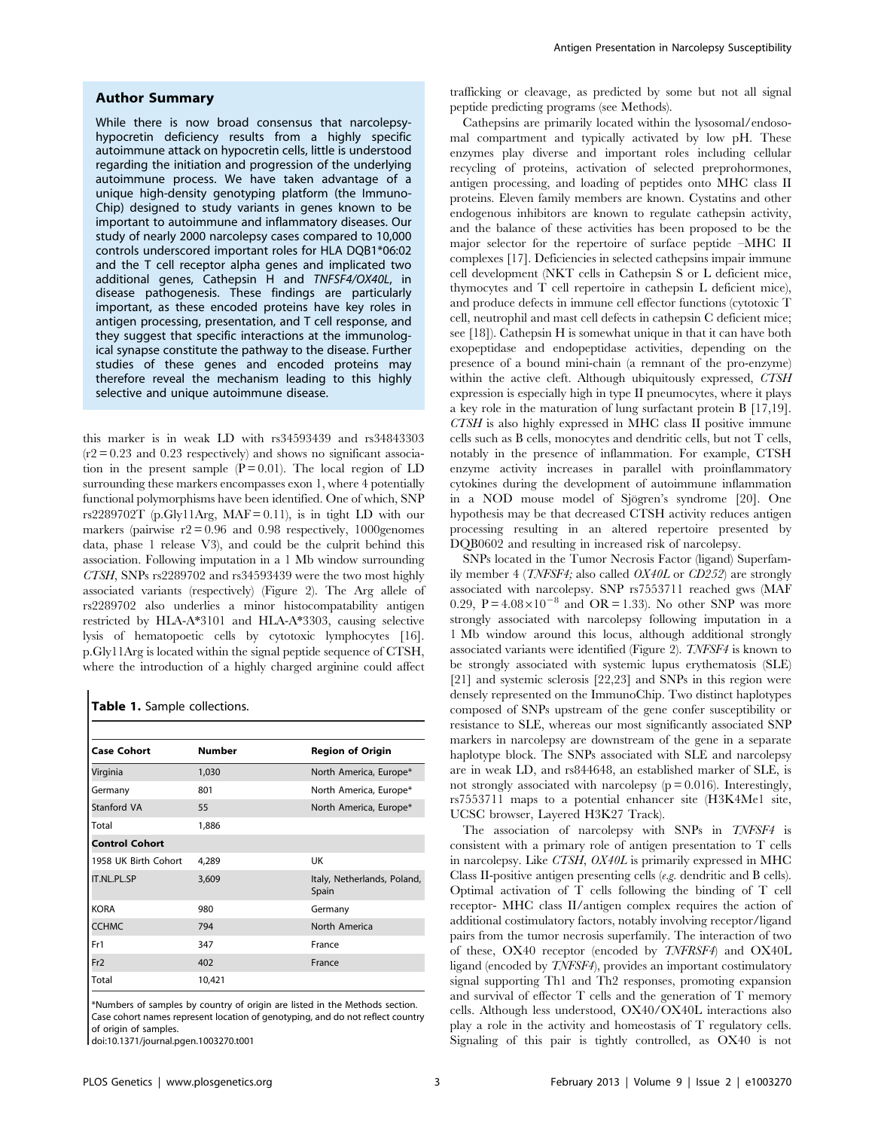## Author Summary

While there is now broad consensus that narcolepsyhypocretin deficiency results from a highly specific autoimmune attack on hypocretin cells, little is understood regarding the initiation and progression of the underlying autoimmune process. We have taken advantage of a unique high-density genotyping platform (the Immuno-Chip) designed to study variants in genes known to be important to autoimmune and inflammatory diseases. Our study of nearly 2000 narcolepsy cases compared to 10,000 controls underscored important roles for HLA DQB1\*06:02 and the T cell receptor alpha genes and implicated two additional genes, Cathepsin H and TNFSF4/OX40L, in disease pathogenesis. These findings are particularly important, as these encoded proteins have key roles in antigen processing, presentation, and T cell response, and they suggest that specific interactions at the immunological synapse constitute the pathway to the disease. Further studies of these genes and encoded proteins may therefore reveal the mechanism leading to this highly selective and unique autoimmune disease.

this marker is in weak LD with rs34593439 and rs34843303  $(r2 = 0.23$  and 0.23 respectively) and shows no significant association in the present sample  $(P = 0.01)$ . The local region of LD surrounding these markers encompasses exon 1, where 4 potentially functional polymorphisms have been identified. One of which, SNP rs2289702T (p.Gly11Arg, MAF = 0.11), is in tight LD with our markers (pairwise  $r2 = 0.96$  and 0.98 respectively, 1000 genomes data, phase 1 release V3), and could be the culprit behind this association. Following imputation in a 1 Mb window surrounding CTSH, SNPs rs2289702 and rs34593439 were the two most highly associated variants (respectively) (Figure 2). The Arg allele of rs2289702 also underlies a minor histocompatability antigen restricted by HLA-A\*3101 and HLA-A\*3303, causing selective lysis of hematopoetic cells by cytotoxic lymphocytes [16]. p.Gly11Arg is located within the signal peptide sequence of CTSH, where the introduction of a highly charged arginine could affect

## Table 1. Sample collections.

| <b>Case Cohort</b>    | <b>Number</b> | <b>Region of Origin</b>              |  |  |  |
|-----------------------|---------------|--------------------------------------|--|--|--|
| Virginia              | 1,030         | North America, Europe*               |  |  |  |
| Germany               | 801           | North America, Europe*               |  |  |  |
| Stanford VA           | 55            | North America, Europe*               |  |  |  |
| Total                 | 1,886         |                                      |  |  |  |
| <b>Control Cohort</b> |               |                                      |  |  |  |
| 1958 UK Birth Cohort  | 4,289         | UK                                   |  |  |  |
| <b>IT.NL.PL.SP</b>    | 3,609         | Italy, Netherlands, Poland,<br>Spain |  |  |  |
| <b>KORA</b>           | 980           | Germany                              |  |  |  |
| <b>CCHMC</b>          | 794           | North America                        |  |  |  |
| Fr1                   | 347           | France                               |  |  |  |
| Fr <sub>2</sub>       | 402           | France                               |  |  |  |
| Total                 | 10,421        |                                      |  |  |  |

\*Numbers of samples by country of origin are listed in the Methods section. Case cohort names represent location of genotyping, and do not reflect country of origin of samples.

doi:10.1371/journal.pgen.1003270.t001

trafficking or cleavage, as predicted by some but not all signal peptide predicting programs (see Methods).

Cathepsins are primarily located within the lysosomal/endosomal compartment and typically activated by low pH. These enzymes play diverse and important roles including cellular recycling of proteins, activation of selected preprohormones, antigen processing, and loading of peptides onto MHC class II proteins. Eleven family members are known. Cystatins and other endogenous inhibitors are known to regulate cathepsin activity, and the balance of these activities has been proposed to be the major selector for the repertoire of surface peptide –MHC II complexes [17]. Deficiencies in selected cathepsins impair immune cell development (NKT cells in Cathepsin S or L deficient mice, thymocytes and T cell repertoire in cathepsin L deficient mice), and produce defects in immune cell effector functions (cytotoxic T cell, neutrophil and mast cell defects in cathepsin C deficient mice; see [18]). Cathepsin H is somewhat unique in that it can have both exopeptidase and endopeptidase activities, depending on the presence of a bound mini-chain (a remnant of the pro-enzyme) within the active cleft. Although ubiquitously expressed, CTSH expression is especially high in type II pneumocytes, where it plays a key role in the maturation of lung surfactant protein B [17,19]. CTSH is also highly expressed in MHC class II positive immune cells such as B cells, monocytes and dendritic cells, but not T cells, notably in the presence of inflammation. For example, CTSH enzyme activity increases in parallel with proinflammatory cytokines during the development of autoimmune inflammation in a NOD mouse model of Sjögren's syndrome [20]. One hypothesis may be that decreased CTSH activity reduces antigen processing resulting in an altered repertoire presented by DQB0602 and resulting in increased risk of narcolepsy.

SNPs located in the Tumor Necrosis Factor (ligand) Superfamily member 4 (TNFSF4; also called OX40L or CD252) are strongly associated with narcolepsy. SNP rs7553711 reached gws (MAF 0.29,  $P = 4.08 \times 10^{-8}$  and OR = 1.33). No other SNP was more strongly associated with narcolepsy following imputation in a 1 Mb window around this locus, although additional strongly associated variants were identified (Figure 2). TNFSF4 is known to be strongly associated with systemic lupus erythematosis (SLE) [21] and systemic sclerosis [22,23] and SNPs in this region were densely represented on the ImmunoChip. Two distinct haplotypes composed of SNPs upstream of the gene confer susceptibility or resistance to SLE, whereas our most significantly associated SNP markers in narcolepsy are downstream of the gene in a separate haplotype block. The SNPs associated with SLE and narcolepsy are in weak LD, and rs844648, an established marker of SLE, is not strongly associated with narcolepsy  $(p = 0.016)$ . Interestingly, rs7553711 maps to a potential enhancer site (H3K4Me1 site, UCSC browser, Layered H3K27 Track).

The association of narcolepsy with SNPs in TNFSF4 is consistent with a primary role of antigen presentation to T cells in narcolepsy. Like CTSH, OX40L is primarily expressed in MHC Class II-positive antigen presenting cells (e.g. dendritic and B cells). Optimal activation of T cells following the binding of T cell receptor- MHC class II/antigen complex requires the action of additional costimulatory factors, notably involving receptor/ligand pairs from the tumor necrosis superfamily. The interaction of two of these, OX40 receptor (encoded by TNFRSF4) and OX40L ligand (encoded by TNFSF4), provides an important costimulatory signal supporting Th1 and Th2 responses, promoting expansion and survival of effector T cells and the generation of T memory cells. Although less understood, OX40/OX40L interactions also play a role in the activity and homeostasis of T regulatory cells. Signaling of this pair is tightly controlled, as OX40 is not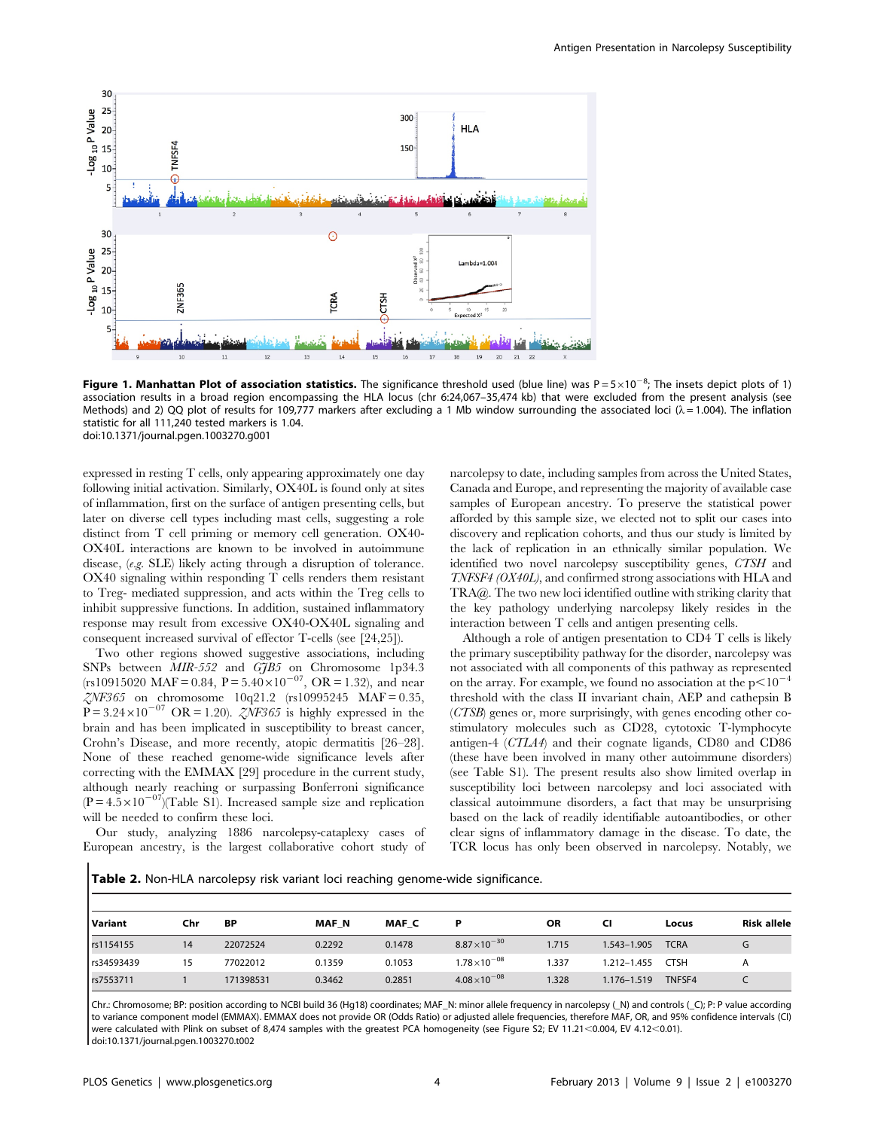

Figure 1. Manhattan Plot of association statistics. The significance threshold used (blue line) was  $P = 5 \times 10^{-8}$ ; The insets depict plots of 1) association results in a broad region encompassing the HLA locus (chr 6:24,067–35,474 kb) that were excluded from the present analysis (see Methods) and 2) QQ plot of results for 109,777 markers after excluding a 1 Mb window surrounding the associated loci ( $\lambda$  = 1.004). The inflation statistic for all 111,240 tested markers is 1.04. doi:10.1371/journal.pgen.1003270.g001

expressed in resting T cells, only appearing approximately one day following initial activation. Similarly, OX40L is found only at sites of inflammation, first on the surface of antigen presenting cells, but later on diverse cell types including mast cells, suggesting a role distinct from T cell priming or memory cell generation. OX40- OX40L interactions are known to be involved in autoimmune disease, (e.g. SLE) likely acting through a disruption of tolerance. OX40 signaling within responding T cells renders them resistant to Treg- mediated suppression, and acts within the Treg cells to inhibit suppressive functions. In addition, sustained inflammatory response may result from excessive OX40-OX40L signaling and consequent increased survival of effector T-cells (see [24,25]).

Two other regions showed suggestive associations, including SNPs between  $MIR-552$  and  $G7B5$  on Chromosome 1p34.3 (rs10915020 MAF = 0.84, P =  $5.40 \times 10^{-07}$ , OR = 1.32), and near  $ZNF365$  on chromosome 10q21.2 (rs10995245 MAF = 0.35,  $\overrightarrow{P}$  = 3.24×10<sup>-07</sup> OR = 1.20). *ZNF365* is highly expressed in the brain and has been implicated in susceptibility to breast cancer, Crohn's Disease, and more recently, atopic dermatitis [26–28]. None of these reached genome-wide significance levels after correcting with the EMMAX [29] procedure in the current study, although nearly reaching or surpassing Bonferroni significance  $(P = 4.5 \times 10^{-07})$ (Table S1). Increased sample size and replication will be needed to confirm these loci.

Our study, analyzing 1886 narcolepsy-cataplexy cases of European ancestry, is the largest collaborative cohort study of

narcolepsy to date, including samples from across the United States, Canada and Europe, and representing the majority of available case samples of European ancestry. To preserve the statistical power afforded by this sample size, we elected not to split our cases into discovery and replication cohorts, and thus our study is limited by the lack of replication in an ethnically similar population. We identified two novel narcolepsy susceptibility genes, CTSH and TNFSF4 (OX40L), and confirmed strong associations with HLA and TRA@. The two new loci identified outline with striking clarity that the key pathology underlying narcolepsy likely resides in the interaction between T cells and antigen presenting cells.

Although a role of antigen presentation to CD4 T cells is likely the primary susceptibility pathway for the disorder, narcolepsy was not associated with all components of this pathway as represented on the array. For example, we found no association at the  $p<10^{-4}$ threshold with the class II invariant chain, AEP and cathepsin B (CTSB) genes or, more surprisingly, with genes encoding other costimulatory molecules such as CD28, cytotoxic T-lymphocyte antigen-4 (CTLA4) and their cognate ligands, CD80 and CD86 (these have been involved in many other autoimmune disorders) (see Table S1). The present results also show limited overlap in susceptibility loci between narcolepsy and loci associated with classical autoimmune disorders, a fact that may be unsurprising based on the lack of readily identifiable autoantibodies, or other clear signs of inflammatory damage in the disease. To date, the TCR locus has only been observed in narcolepsy. Notably, we

Table 2. Non-HLA narcolepsy risk variant loci reaching genome-wide significance.

| l Variant  | Chr | ΒP        | <b>MAF N</b> | MAF C  |                      | <b>OR</b> | CI          | Locus       | <b>Risk allele</b> |
|------------|-----|-----------|--------------|--------|----------------------|-----------|-------------|-------------|--------------------|
| rs1154155  | 14  | 22072524  | 0.2292       | 0.1478 | $8.87\times10^{-30}$ | 1.715     | 1.543-1.905 | <b>TCRA</b> | G                  |
| rs34593439 | 15  | 77022012  | 0.1359       | 0.1053 | $1.78\times10^{-08}$ | 1.337     | 1.212-1.455 | CTSH        | A                  |
| rs7553711  |     | 171398531 | 0.3462       | 0.2851 | $4.08\times10^{-08}$ | 1.328     | 1.176-1.519 | TNFSF4      |                    |

Chr.: Chromosome; BP: position according to NCBI build 36 (Hg18) coordinates; MAF\_N: minor allele frequency in narcolepsy (\_N) and controls (\_C); P: P value according to variance component model (EMMAX). EMMAX does not provide OR (Odds Ratio) or adjusted allele frequencies, therefore MAF, OR, and 95% confidence intervals (CI) were calculated with Plink on subset of 8,474 samples with the greatest PCA homogeneity (see Figure S2; EV 11.21<0.004, EV 4.12<0.01). doi:10.1371/journal.pgen.1003270.t002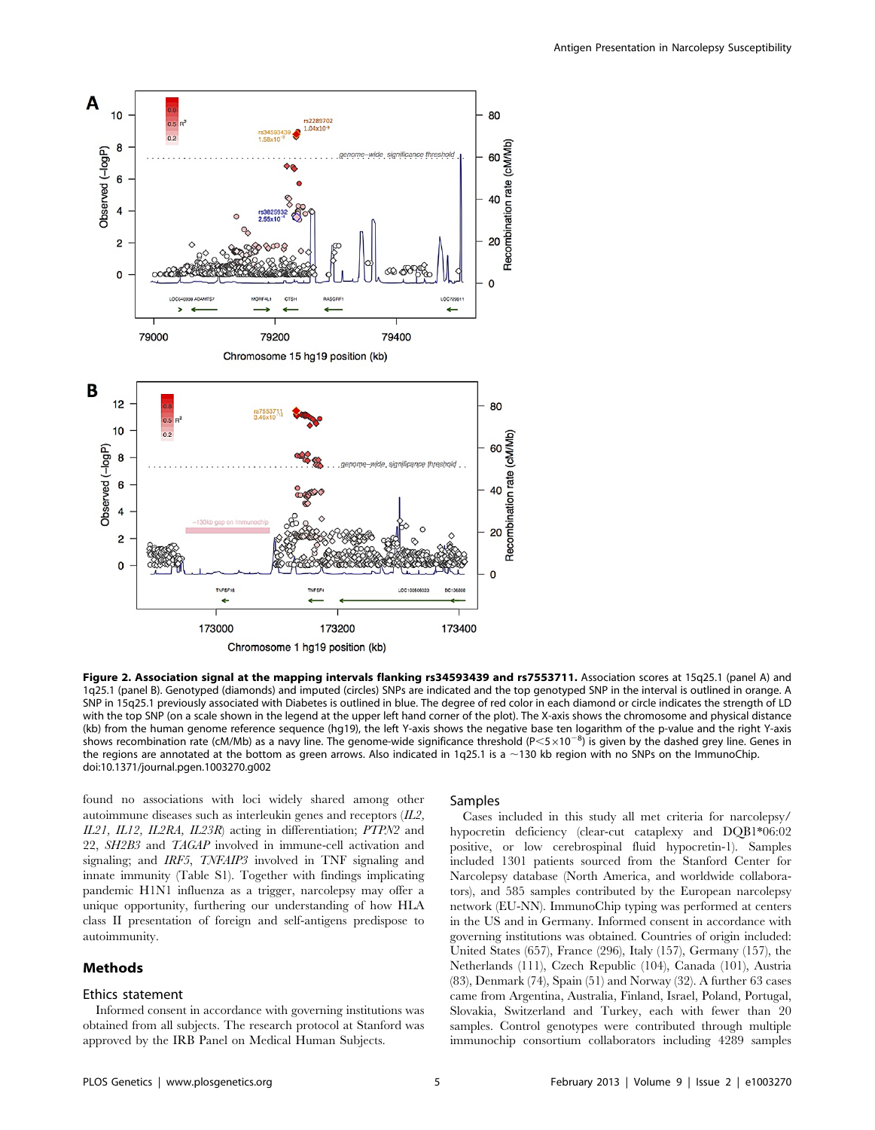

Figure 2. Association signal at the mapping intervals flanking rs34593439 and rs7553711. Association scores at 15q25.1 (panel A) and 1q25.1 (panel B). Genotyped (diamonds) and imputed (circles) SNPs are indicated and the top genotyped SNP in the interval is outlined in orange. A SNP in 15q25.1 previously associated with Diabetes is outlined in blue. The degree of red color in each diamond or circle indicates the strength of LD with the top SNP (on a scale shown in the legend at the upper left hand corner of the plot). The X-axis shows the chromosome and physical distance (kb) from the human genome reference sequence (hg19), the left Y-axis shows the negative base ten logarithm of the p-value and the right Y-axis shows recombination rate (cM/Mb) as a navy line. The genome-wide significance threshold (P<5×10<sup>-8</sup>) is given by the dashed grey line. Genes in the regions are annotated at the bottom as green arrows. Also indicated in 1q25.1 is a  $\sim$ 130 kb region with no SNPs on the ImmunoChip. doi:10.1371/journal.pgen.1003270.g002

found no associations with loci widely shared among other autoimmune diseases such as interleukin genes and receptors  $(II2,$ IL21, IL12, IL2RA, IL23R) acting in differentiation; PTPN2 and 22, SH2B3 and TAGAP involved in immune-cell activation and signaling; and IRF5, TNFAIP3 involved in TNF signaling and innate immunity (Table S1). Together with findings implicating pandemic H1N1 influenza as a trigger, narcolepsy may offer a unique opportunity, furthering our understanding of how HLA class II presentation of foreign and self-antigens predispose to autoimmunity.

## Methods

#### Ethics statement

Informed consent in accordance with governing institutions was obtained from all subjects. The research protocol at Stanford was approved by the IRB Panel on Medical Human Subjects.

#### Samples

Cases included in this study all met criteria for narcolepsy/ hypocretin deficiency (clear-cut cataplexy and DQB1\*06:02 positive, or low cerebrospinal fluid hypocretin-1). Samples included 1301 patients sourced from the Stanford Center for Narcolepsy database (North America, and worldwide collaborators), and 585 samples contributed by the European narcolepsy network (EU-NN). ImmunoChip typing was performed at centers in the US and in Germany. Informed consent in accordance with governing institutions was obtained. Countries of origin included: United States (657), France (296), Italy (157), Germany (157), the Netherlands (111), Czech Republic (104), Canada (101), Austria (83), Denmark (74), Spain (51) and Norway (32). A further 63 cases came from Argentina, Australia, Finland, Israel, Poland, Portugal, Slovakia, Switzerland and Turkey, each with fewer than 20 samples. Control genotypes were contributed through multiple immunochip consortium collaborators including 4289 samples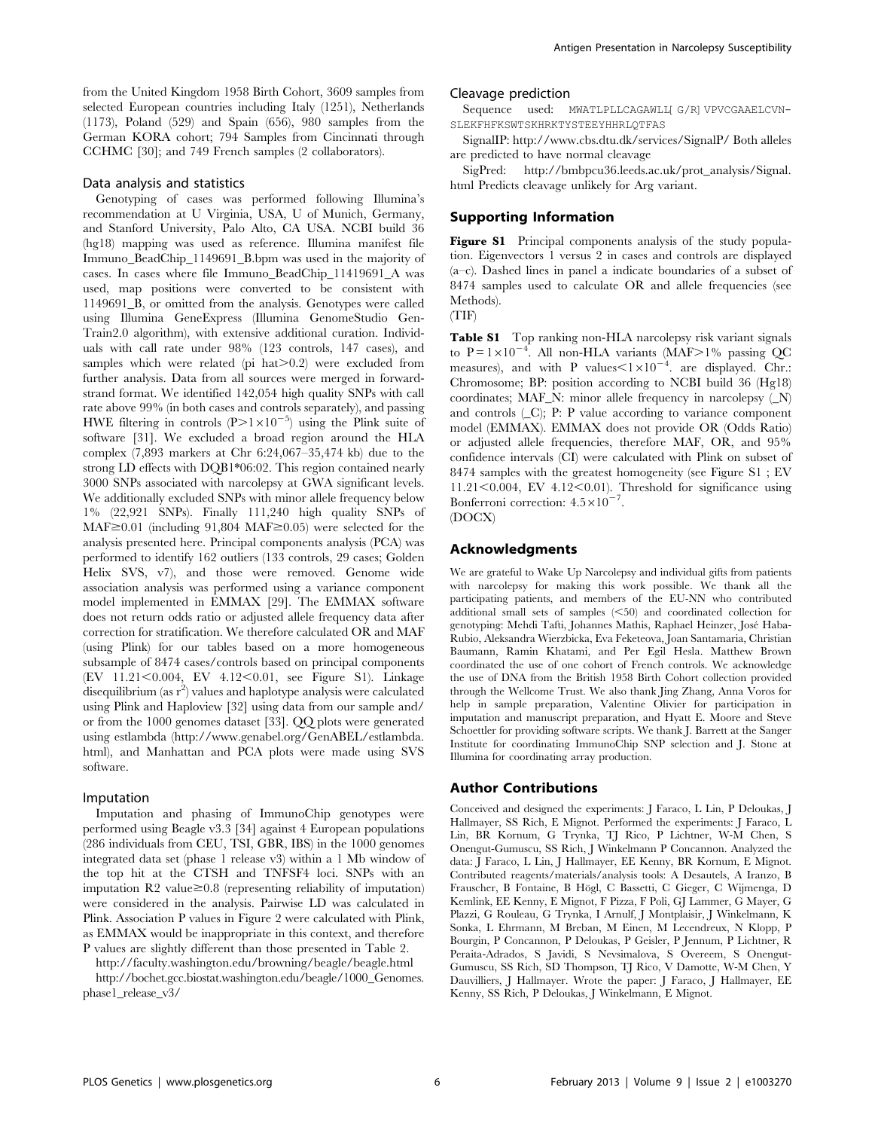from the United Kingdom 1958 Birth Cohort, 3609 samples from selected European countries including Italy (1251), Netherlands (1173), Poland (529) and Spain (656), 980 samples from the German KORA cohort; 794 Samples from Cincinnati through CCHMC [30]; and 749 French samples (2 collaborators).

#### Data analysis and statistics

Genotyping of cases was performed following Illumina's recommendation at U Virginia, USA, U of Munich, Germany, and Stanford University, Palo Alto, CA USA. NCBI build 36 (hg18) mapping was used as reference. Illumina manifest file Immuno\_BeadChip\_1149691\_B.bpm was used in the majority of cases. In cases where file Immuno\_BeadChip\_11419691\_A was used, map positions were converted to be consistent with 1149691\_B, or omitted from the analysis. Genotypes were called using Illumina GeneExpress (Illumina GenomeStudio Gen-Train2.0 algorithm), with extensive additional curation. Individuals with call rate under 98% (123 controls, 147 cases), and samples which were related (pi  $hat>0.2$ ) were excluded from further analysis. Data from all sources were merged in forwardstrand format. We identified 142,054 high quality SNPs with call rate above 99% (in both cases and controls separately), and passing HWE filtering in controls  $(P>1\times10^{-5})$  using the Plink suite of software [31]. We excluded a broad region around the HLA complex (7,893 markers at Chr 6:24,067–35,474 kb) due to the strong LD effects with DQB1\*06:02. This region contained nearly 3000 SNPs associated with narcolepsy at GWA significant levels. We additionally excluded SNPs with minor allele frequency below 1% (22,921 SNPs). Finally 111,240 high quality SNPs of MAF $\geq$ 0.01 (including 91,804 MAF $\geq$ 0.05) were selected for the analysis presented here. Principal components analysis (PCA) was performed to identify 162 outliers (133 controls, 29 cases; Golden Helix SVS, v7), and those were removed. Genome wide association analysis was performed using a variance component model implemented in EMMAX [29]. The EMMAX software does not return odds ratio or adjusted allele frequency data after correction for stratification. We therefore calculated OR and MAF (using Plink) for our tables based on a more homogeneous subsample of 8474 cases/controls based on principal components (EV 11.21<0.004, EV 4.12<0.01, see Figure S1). Linkage disequilibrium (as  $\mathrm{r}^2$ ) values and haplotype analysis were calculated using Plink and Haploview [32] using data from our sample and/ or from the 1000 genomes dataset [33]. QQ plots were generated using estlambda (http://www.genabel.org/GenABEL/estlambda. html), and Manhattan and PCA plots were made using SVS software.

#### Imputation

Imputation and phasing of ImmunoChip genotypes were performed using Beagle v3.3 [34] against 4 European populations (286 individuals from CEU, TSI, GBR, IBS) in the 1000 genomes integrated data set (phase 1 release v3) within a 1 Mb window of the top hit at the CTSH and TNFSF4 loci. SNPs with an imputation  $R2$  value $\geq 0.8$  (representing reliability of imputation) were considered in the analysis. Pairwise LD was calculated in Plink. Association P values in Figure 2 were calculated with Plink, as EMMAX would be inappropriate in this context, and therefore P values are slightly different than those presented in Table 2.

http://faculty.washington.edu/browning/beagle/beagle.html http://bochet.gcc.biostat.washington.edu/beagle/1000\_Genomes. phase1\_release\_v3/

#### Cleavage prediction

Sequence used: MWATLPLLCAGAWLL[G/R]VPVCGAAELCVN-SLEKFHFKSWTSKHRKTYSTEEYHHRLQTFAS

SignalIP: http://www.cbs.dtu.dk/services/SignalP/ Both alleles are predicted to have normal cleavage

SigPred: http://bmbpcu36.leeds.ac.uk/prot\_analysis/Signal. html Predicts cleavage unlikely for Arg variant.

## Supporting Information

Figure S1 Principal components analysis of the study population. Eigenvectors 1 versus 2 in cases and controls are displayed (a–c). Dashed lines in panel a indicate boundaries of a subset of 8474 samples used to calculate OR and allele frequencies (see Methods).

(TIF)

Table S1 Top ranking non-HLA narcolepsy risk variant signals to  $P = 1 \times 10^{-4}$ . All non-HLA variants (MAF>1% passing QC measures), and with P values $\leq 1 \times 10^{-4}$ . are displayed. Chr.: Chromosome; BP: position according to NCBI build 36 (Hg18) coordinates; MAF\_N: minor allele frequency in narcolepsy  $(N)$ and controls (\_C); P: P value according to variance component model (EMMAX). EMMAX does not provide OR (Odds Ratio) or adjusted allele frequencies, therefore MAF, OR, and 95% confidence intervals (CI) were calculated with Plink on subset of 8474 samples with the greatest homogeneity (see Figure S1 ; EV  $11.21<0.004$ , EV  $4.12<0.01$ ). Threshold for significance using Bonferroni correction:  $4.5 \times 10^{-7}$ . (DOCX)

#### Acknowledgments

We are grateful to Wake Up Narcolepsy and individual gifts from patients with narcolepsy for making this work possible. We thank all the participating patients, and members of the EU-NN who contributed additional small sets of samples  $(*50*)$  and coordinated collection for genotyping: Mehdi Tafti, Johannes Mathis, Raphael Heinzer, Jose´ Haba-Rubio, Aleksandra Wierzbicka, Eva Feketeova, Joan Santamaria, Christian Baumann, Ramin Khatami, and Per Egil Hesla. Matthew Brown coordinated the use of one cohort of French controls. We acknowledge the use of DNA from the British 1958 Birth Cohort collection provided through the Wellcome Trust. We also thank Jing Zhang, Anna Voros for help in sample preparation, Valentine Olivier for participation in imputation and manuscript preparation, and Hyatt E. Moore and Steve Schoettler for providing software scripts. We thank J. Barrett at the Sanger Institute for coordinating ImmunoChip SNP selection and J. Stone at Illumina for coordinating array production.

### Author Contributions

Conceived and designed the experiments: J Faraco, L Lin, P Deloukas, J Hallmayer, SS Rich, E Mignot. Performed the experiments: J Faraco, L Lin, BR Kornum, G Trynka, TJ Rico, P Lichtner, W-M Chen, S Onengut-Gumuscu, SS Rich, J Winkelmann P Concannon. Analyzed the data: J Faraco, L Lin, J Hallmayer, EE Kenny, BR Kornum, E Mignot. Contributed reagents/materials/analysis tools: A Desautels, A Iranzo, B Frauscher, B Fontaine, B Högl, C Bassetti, C Gieger, C Wijmenga, D Kemlink, EE Kenny, E Mignot, F Pizza, F Poli, GJ Lammer, G Mayer, G Plazzi, G Rouleau, G Trynka, I Arnulf, J Montplaisir, J Winkelmann, K Sonka, L Ehrmann, M Breban, M Einen, M Lecendreux, N Klopp, P Bourgin, P Concannon, P Deloukas, P Geisler, P Jennum, P Lichtner, R Peraita-Adrados, S Javidi, S Nevsimalova, S Overeem, S Onengut-Gumuscu, SS Rich, SD Thompson, TJ Rico, V Damotte, W-M Chen, Y Dauvilliers, J Hallmayer. Wrote the paper: J Faraco, J Hallmayer, EE Kenny, SS Rich, P Deloukas, J Winkelmann, E Mignot.